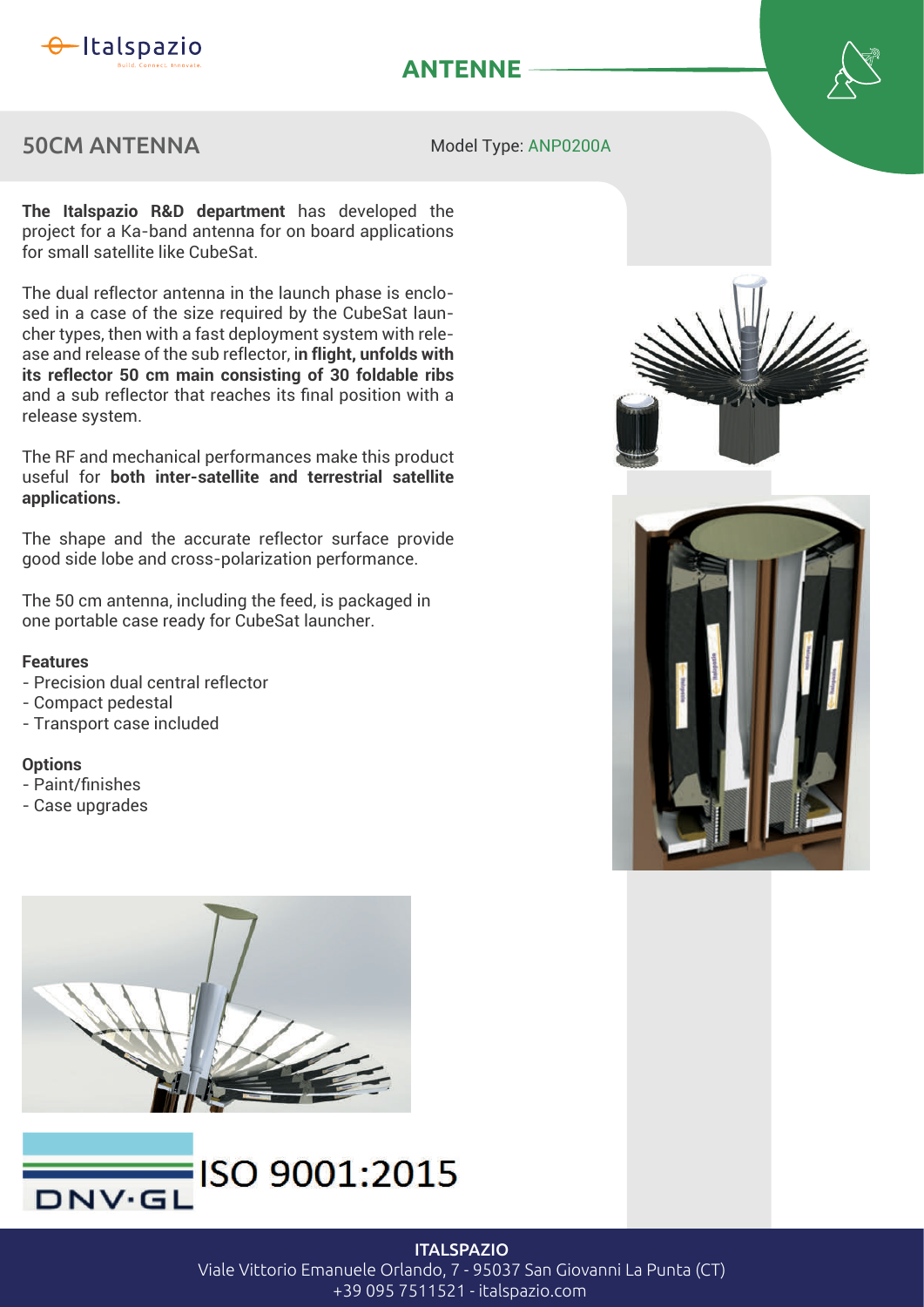

# **ANTENNE**

### 50CM ANTENNA

Model Type: ANP0200A

The Italspazio R&D department has developed the project for a Ka-band antenna for on board applications for small satellite like CubeSat.

The dual reflector antenna in the launch phase is enclosed in a case of the size required by the CubeSat launcher types, then with a fast deployment system with release and release of the sub reflector, in flight, unfolds with **its reflector 50 cm main consisting of 30 foldable ribs** and a sub reflector that reaches its final position with a release system.

The RF and mechanical performances make this product useful for **both inter-satellite and terrestrial satellite**  applications.

The shape and the accurate reflector surface provide good side lobe and cross-polarization performance.

The 50 cm antenna, including the feed, is packaged in one portable case ready for CubeSat launcher.

#### **Features**

- Precision dual central reflector
- Compact pedestal
- Transport case included

#### **Options**

- Paint/finishes
- Case upgrades









**ITALSPAZIO** Viale Vittorio Emanuele Orlando, 7 - 95037 San Giovanni La Punta (CT) +39 095 7511521 - italspazio.com